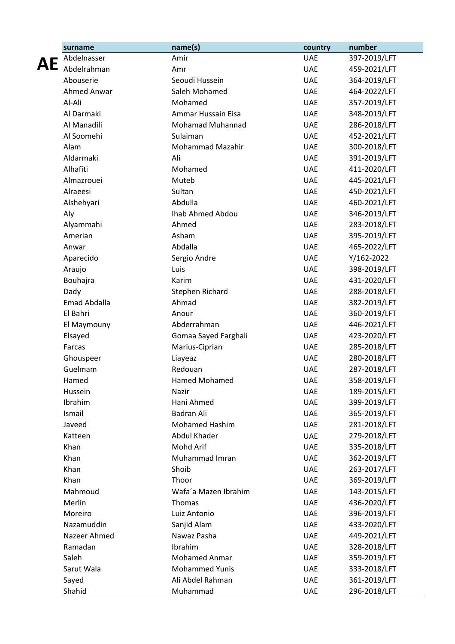| surname             | name(s)                 | country    | number       |
|---------------------|-------------------------|------------|--------------|
| Abdelnasser         | Amir                    | <b>UAE</b> | 397-2019/LFT |
| Abdelrahman         | Amr                     | <b>UAE</b> | 459-2021/LFT |
| Abouserie           | Seoudi Hussein          | <b>UAE</b> | 364-2019/LFT |
| Ahmed Anwar         | Saleh Mohamed           | <b>UAE</b> | 464-2022/LFT |
| Al-Ali              | Mohamed                 | <b>UAE</b> | 357-2019/LFT |
| Al Darmaki          | Ammar Hussain Eisa      | <b>UAE</b> | 348-2019/LFT |
| Al Manadili         | <b>Mohamad Muhannad</b> | <b>UAE</b> | 286-2018/LFT |
| Al Soomehi          | Sulaiman                | <b>UAE</b> | 452-2021/LFT |
| Alam                | <b>Mohammad Mazahir</b> | <b>UAE</b> | 300-2018/LFT |
| Aldarmaki           | Ali                     | <b>UAE</b> | 391-2019/LFT |
| Alhafiti            | Mohamed                 | <b>UAE</b> | 411-2020/LFT |
| Almazrouei          | Muteb                   | <b>UAE</b> | 445-2021/LFT |
| Alraeesi            | Sultan                  | <b>UAE</b> | 450-2021/LFT |
| Alshehyari          | Abdulla                 | <b>UAE</b> | 460-2021/LFT |
| Aly                 | Ihab Ahmed Abdou        | <b>UAE</b> | 346-2019/LFT |
| Alyammahi           | Ahmed                   | <b>UAE</b> | 283-2018/LFT |
| Amerian             | Asham                   | <b>UAE</b> | 395-2019/LFT |
| Anwar               | Abdalla                 | <b>UAE</b> | 465-2022/LFT |
| Aparecido           | Sergio Andre            | <b>UAE</b> | Y/162-2022   |
| Araujo              | Luis                    | <b>UAE</b> | 398-2019/LFT |
| Bouhajra            | Karim                   | <b>UAE</b> | 431-2020/LFT |
| Dady                | Stephen Richard         | <b>UAE</b> | 288-2018/LFT |
| <b>Emad Abdalla</b> | Ahmad                   | <b>UAE</b> | 382-2019/LFT |
| El Bahri            | Anour                   | <b>UAE</b> | 360-2019/LFT |
| El Maymouny         | Abderrahman             | <b>UAE</b> | 446-2021/LFT |
| Elsayed             | Gomaa Sayed Farghali    | <b>UAE</b> | 423-2020/LFT |
| Farcas              | Marius-Ciprian          | <b>UAE</b> | 285-2018/LFT |
| Ghouspeer           | Liayeaz                 | <b>UAE</b> | 280-2018/LFT |
| Guelmam             | Redouan                 | <b>UAE</b> | 287-2018/LFT |
| Hamed               | <b>Hamed Mohamed</b>    | <b>UAE</b> | 358-2019/LFT |
| Hussein             | Nazir                   | <b>UAE</b> | 189-2015/LFT |
| Ibrahim             | Hani Ahmed              | <b>UAE</b> | 399-2019/LFT |
| Ismail              | Badran Ali              | <b>UAE</b> | 365-2019/LFT |
| Javeed              | <b>Mohamed Hashim</b>   | <b>UAE</b> | 281-2018/LFT |
| Katteen             | Abdul Khader            | <b>UAE</b> | 279-2018/LFT |
| Khan                | Mohd Arif               | <b>UAE</b> | 335-2018/LFT |
| Khan                | Muhammad Imran          | <b>UAE</b> | 362-2019/LFT |
| Khan                | Shoib                   | <b>UAE</b> | 263-2017/LFT |
| Khan                | Thoor                   | <b>UAE</b> | 369-2019/LFT |
| Mahmoud             | Wafa'a Mazen Ibrahim    | <b>UAE</b> | 143-2015/LFT |
| Merlin              | Thomas                  | <b>UAE</b> | 436-2020/LFT |
| Moreiro             | Luiz Antonio            | <b>UAE</b> | 396-2019/LFT |
| Nazamuddin          | Sanjid Alam             | <b>UAE</b> | 433-2020/LFT |
| Nazeer Ahmed        | Nawaz Pasha             | <b>UAE</b> | 449-2021/LFT |
| Ramadan             | Ibrahim                 | <b>UAE</b> | 328-2018/LFT |
| Saleh               | <b>Mohamed Anmar</b>    | <b>UAE</b> | 359-2019/LFT |
| Sarut Wala          | <b>Mohammed Yunis</b>   | <b>UAE</b> | 333-2018/LFT |
| Sayed               | Ali Abdel Rahman        | <b>UAE</b> | 361-2019/LFT |
| Shahid              | Muhammad                | <b>UAE</b> | 296-2018/LFT |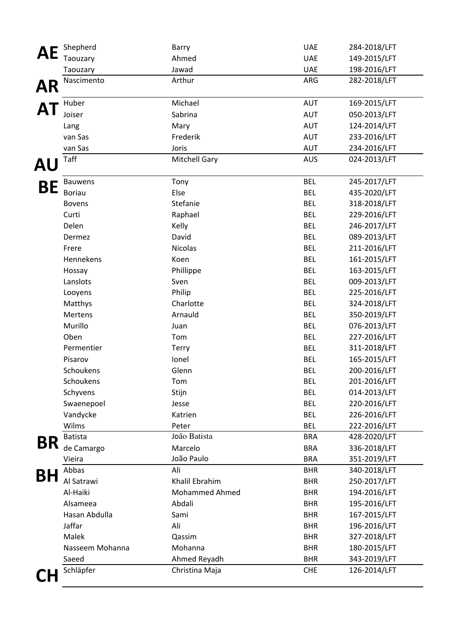|           | Shepherd        | Barry                 | <b>UAE</b>               | 284-2018/LFT                 |
|-----------|-----------------|-----------------------|--------------------------|------------------------------|
|           | Taouzary        | Ahmed                 | <b>UAE</b>               | 149-2015/LFT                 |
|           | Taouzary        | Jawad                 | <b>UAE</b>               | 198-2016/LFT                 |
| <b>AR</b> | Nascimento      | Arthur                | ARG                      | 282-2018/LFT                 |
|           | Huber           | Michael               | AUT                      | 169-2015/LFT                 |
|           | Joiser          | Sabrina               | <b>AUT</b>               | 050-2013/LFT                 |
|           | Lang            | Mary                  | <b>AUT</b>               | 124-2014/LFT                 |
|           | van Sas         | Frederik              | <b>AUT</b>               | 233-2016/LFT                 |
|           | van Sas         | Joris                 | <b>AUT</b>               | 234-2016/LFT                 |
| <b>AU</b> | Taff            | <b>Mitchell Gary</b>  | <b>AUS</b>               | 024-2013/LFT                 |
|           | <b>Bauwens</b>  | Tony                  | <b>BEL</b>               | 245-2017/LFT                 |
| BЕ        | <b>Boriau</b>   | Else                  | <b>BEL</b>               | 435-2020/LFT                 |
|           | <b>Bovens</b>   | Stefanie              | <b>BEL</b>               | 318-2018/LFT                 |
|           | Curti           | Raphael               | <b>BEL</b>               | 229-2016/LFT                 |
|           | Delen           | Kelly                 | <b>BEL</b>               | 246-2017/LFT                 |
|           | Dermez          | David                 | <b>BEL</b>               | 089-2013/LFT                 |
|           | Frere           | Nicolas               | <b>BEL</b>               | 211-2016/LFT                 |
|           | Hennekens       | Koen                  | <b>BEL</b>               | 161-2015/LFT                 |
|           | Hossay          | Phillippe             | <b>BEL</b>               | 163-2015/LFT                 |
|           | Lanslots        | Sven                  | <b>BEL</b>               | 009-2013/LFT                 |
|           | Looyens         | Philip                | <b>BEL</b>               | 225-2016/LFT                 |
|           | Matthys         | Charlotte             | <b>BEL</b>               | 324-2018/LFT                 |
|           | Mertens         | Arnauld               | <b>BEL</b>               | 350-2019/LFT                 |
|           | Murillo         | Juan                  | <b>BEL</b>               | 076-2013/LFT                 |
|           | Oben            | Tom                   | <b>BEL</b>               | 227-2016/LFT                 |
|           | Permentier      | Terry                 | <b>BEL</b>               | 311-2018/LFT                 |
|           | Pisarov         | Ionel                 | <b>BEL</b>               | 165-2015/LFT                 |
|           | Schoukens       | Glenn                 | <b>BEL</b>               | 200-2016/LFT                 |
|           | Schoukens       | Tom                   | <b>BEL</b>               | 201-2016/LFT                 |
|           | Schyvens        | Stijn                 | <b>BEL</b>               | 014-2013/LFT                 |
|           | Swaenepoel      | Jesse                 | <b>BEL</b>               | 220-2016/LFT                 |
|           | Vandycke        | Katrien               | <b>BEL</b>               | 226-2016/LFT                 |
|           | Wilms           | Peter                 | <b>BEL</b>               | 222-2016/LFT                 |
| BR        | <b>Batista</b>  | João Batista          | <b>BRA</b>               | 428-2020/LFT                 |
|           | de Camargo      | Marcelo               | <b>BRA</b>               | 336-2018/LFT                 |
|           | Vieira          | João Paulo            | <b>BRA</b>               | 351-2019/LFT                 |
| BF        | Abbas           | Ali                   | <b>BHR</b>               | 340-2018/LFT                 |
|           | Al Satrawi      | Khalil Ebrahim        | <b>BHR</b>               | 250-2017/LFT                 |
|           | Al-Haiki        | <b>Mohammed Ahmed</b> | <b>BHR</b>               | 194-2016/LFT                 |
|           | Alsameea        | Abdali                | <b>BHR</b>               | 195-2016/LFT                 |
|           | Hasan Abdulla   | Sami                  | <b>BHR</b>               | 167-2015/LFT                 |
|           | Jaffar          | Ali                   | <b>BHR</b>               | 196-2016/LFT                 |
|           | Malek           | Qassim                | <b>BHR</b>               | 327-2018/LFT                 |
|           | Nasseem Mohanna | Mohanna               | <b>BHR</b>               | 180-2015/LFT                 |
|           | Saeed           | Ahmed Reyadh          | <b>BHR</b><br><b>CHE</b> | 343-2019/LFT<br>126-2014/LFT |
|           | Schläpfer       | Christina Maja        |                          |                              |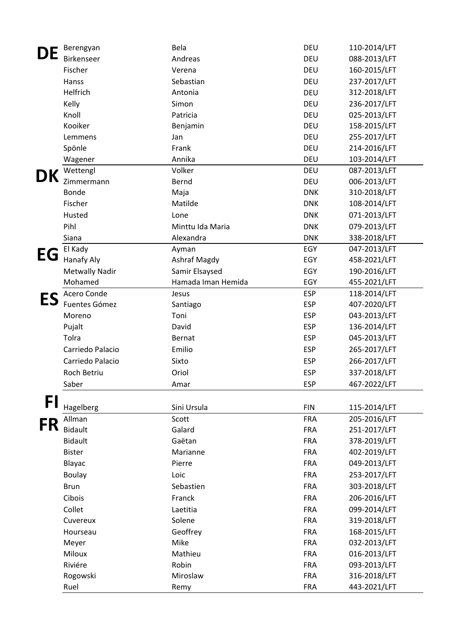|    | Berengyan             | Bela               | <b>DEU</b> | 110-2014/LFT |
|----|-----------------------|--------------------|------------|--------------|
|    | Birkenseer            | Andreas            | <b>DEU</b> | 088-2013/LFT |
|    | Fischer               | Verena             | <b>DEU</b> | 160-2015/LFT |
|    | Hanss                 | Sebastian          | <b>DEU</b> | 237-2017/LFT |
|    | Helfrich              | Antonia            | <b>DEU</b> | 312-2018/LFT |
|    | Kelly                 | Simon              | DEU        | 236-2017/LFT |
|    | Knoll                 | Patricia           | <b>DEU</b> | 025-2013/LFT |
|    | Kooiker               | Benjamin           | <b>DEU</b> | 158-2015/LFT |
|    | Lemmens               | Jan                | <b>DEU</b> | 255-2017/LFT |
|    | Spönle                | Frank              | <b>DEU</b> | 214-2016/LFT |
|    | Wagener               | Annika             | <b>DEU</b> | 103-2014/LFT |
|    | Wettengl              | Volker             | <b>DEU</b> | 087-2013/LFT |
| DK | Zimmermann            | Bernd              | <b>DEU</b> | 006-2013/LFT |
|    | Bonde                 | Maja               | <b>DNK</b> | 310-2018/LFT |
|    | Fischer               | Matilde            | <b>DNK</b> | 108-2014/LFT |
|    | Husted                | Lone               | <b>DNK</b> | 071-2013/LFT |
|    | Pihl                  | Minttu Ida Maria   | <b>DNK</b> | 079-2013/LFT |
|    | Siana                 | Alexandra          | <b>DNK</b> | 338-2018/LFT |
|    | El Kady               | Ayman              | EGY        | 047-2013/LFT |
| EG | Hanafy Aly            | Ashraf Magdy       | EGY        | 458-2021/LFT |
|    | <b>Metwally Nadir</b> | Samir Elsaysed     | EGY        | 190-2016/LFT |
|    | Mohamed               | Hamada Iman Hemida | EGY        | 455-2021/LFT |
| ES | Acero Conde           | Jesus              | <b>ESP</b> | 118-2014/LFT |
|    | Fuentes Gómez         | Santiago           | <b>ESP</b> | 407-2020/LFT |
|    | Moreno                | Toni               | <b>ESP</b> | 043-2013/LFT |
|    | Pujalt                | David              | <b>ESP</b> | 136-2014/LFT |
|    | Tolra                 | Bernat             | <b>ESP</b> | 045-2013/LFT |
|    | Carriedo Palacio      | Emilio             | <b>ESP</b> | 265-2017/LFT |
|    | Carriedo Palacio      | Sixto              | <b>ESP</b> | 266-2017/LFT |
|    | Roch Betriu           | Oriol              | <b>ESP</b> | 337-2018/LFT |
|    | Saber                 | Amar               | <b>ESP</b> | 467-2022/LFT |
|    |                       |                    |            |              |
| FI | Hagelberg             | Sini Ursula        | <b>FIN</b> | 115-2014/LFT |
|    | Allman                | Scott              | <b>FRA</b> | 205-2016/LFT |
| FR | <b>Bidault</b>        | Galard             | <b>FRA</b> | 251-2017/LFT |
|    | <b>Bidault</b>        | Gaëtan             | <b>FRA</b> | 378-2019/LFT |
|    | <b>Bister</b>         | Marianne           | <b>FRA</b> | 402-2019/LFT |
|    | Blayac                | Pierre             | <b>FRA</b> | 049-2013/LFT |
|    | <b>Boulay</b>         | Loic               | <b>FRA</b> | 253-2017/LFT |
|    | <b>Brun</b>           | Sebastien          | <b>FRA</b> | 303-2018/LFT |
|    | Cibois                | Franck             | <b>FRA</b> | 206-2016/LFT |
|    | Collet                | Laetitia           | <b>FRA</b> | 099-2014/LFT |
|    | Cuvereux              | Solene             | <b>FRA</b> | 319-2018/LFT |
|    | Hourseau              | Geoffrey           | <b>FRA</b> | 168-2015/LFT |
|    | Meyer                 | Mike               | <b>FRA</b> | 032-2013/LFT |
|    | Miloux                | Mathieu            | <b>FRA</b> | 016-2013/LFT |
|    | Riviére               | Robin              | <b>FRA</b> | 093-2013/LFT |
|    | Rogowski              | Miroslaw           | <b>FRA</b> | 316-2018/LFT |
|    | Ruel                  | Remy               | <b>FRA</b> | 443-2021/LFT |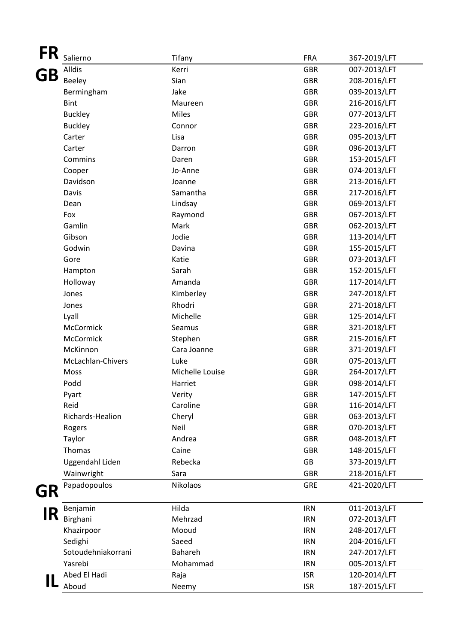| FR | Salierno           | Tifany          | <b>FRA</b> | 367-2019/LFT |
|----|--------------------|-----------------|------------|--------------|
|    | Alldis             | Kerri           | <b>GBR</b> | 007-2013/LFT |
| GB | Beeley             | Sian            | <b>GBR</b> | 208-2016/LFT |
|    | Bermingham         | Jake            | <b>GBR</b> | 039-2013/LFT |
|    | <b>Bint</b>        | Maureen         | <b>GBR</b> | 216-2016/LFT |
|    | <b>Buckley</b>     | <b>Miles</b>    | <b>GBR</b> | 077-2013/LFT |
|    | <b>Buckley</b>     | Connor          | <b>GBR</b> | 223-2016/LFT |
|    | Carter             | Lisa            | <b>GBR</b> | 095-2013/LFT |
|    | Carter             | Darron          | <b>GBR</b> | 096-2013/LFT |
|    | Commins            | Daren           | <b>GBR</b> | 153-2015/LFT |
|    | Cooper             | Jo-Anne         | <b>GBR</b> | 074-2013/LFT |
|    | Davidson           | Joanne          | <b>GBR</b> | 213-2016/LFT |
|    | Davis              | Samantha        | <b>GBR</b> | 217-2016/LFT |
|    | Dean               | Lindsay         | <b>GBR</b> | 069-2013/LFT |
|    | Fox                | Raymond         | <b>GBR</b> | 067-2013/LFT |
|    | Gamlin             | Mark            | <b>GBR</b> | 062-2013/LFT |
|    | Gibson             | Jodie           | <b>GBR</b> | 113-2014/LFT |
|    | Godwin             | Davina          | <b>GBR</b> | 155-2015/LFT |
|    | Gore               | Katie           | <b>GBR</b> | 073-2013/LFT |
|    | Hampton            | Sarah           | <b>GBR</b> | 152-2015/LFT |
|    | Holloway           | Amanda          | <b>GBR</b> | 117-2014/LFT |
|    | Jones              | Kimberley       | <b>GBR</b> | 247-2018/LFT |
|    | Jones              | Rhodri          | <b>GBR</b> | 271-2018/LFT |
|    | Lyall              | Michelle        | <b>GBR</b> | 125-2014/LFT |
|    | McCormick          | Seamus          | <b>GBR</b> | 321-2018/LFT |
|    | McCormick          | Stephen         | <b>GBR</b> | 215-2016/LFT |
|    | McKinnon           | Cara Joanne     | <b>GBR</b> | 371-2019/LFT |
|    | McLachlan-Chivers  | Luke            | <b>GBR</b> | 075-2013/LFT |
|    | Moss               | Michelle Louise | <b>GBR</b> | 264-2017/LFT |
|    | Podd               | Harriet         | <b>GBR</b> | 098-2014/LFT |
|    | Pyart              | Verity          | <b>GBR</b> | 147-2015/LFT |
|    | Reid               | Caroline        | <b>GBR</b> | 116-2014/LFT |
|    | Richards-Healion   | Cheryl          | <b>GBR</b> | 063-2013/LFT |
|    | Rogers             | Neil            | <b>GBR</b> | 070-2013/LFT |
|    | Taylor             | Andrea          | <b>GBR</b> | 048-2013/LFT |
|    | Thomas             | Caine           | <b>GBR</b> | 148-2015/LFT |
|    | Uggendahl Liden    | Rebecka         | GB         | 373-2019/LFT |
|    | Wainwright         | Sara            | <b>GBR</b> | 218-2016/LFT |
|    | Papadopoulos       | Nikolaos        | <b>GRE</b> | 421-2020/LFT |
| GR |                    |                 |            |              |
|    | Benjamin           | Hilda           | <b>IRN</b> | 011-2013/LFT |
| IR | Birghani           | Mehrzad         | <b>IRN</b> | 072-2013/LFT |
|    | Khazirpoor         | Mooud           | <b>IRN</b> | 248-2017/LFT |
|    | Sedighi            | Saeed           | <b>IRN</b> | 204-2016/LFT |
|    | Sotoudehniakorrani | Bahareh         | <b>IRN</b> | 247-2017/LFT |
|    | Yasrebi            | Mohammad        | <b>IRN</b> | 005-2013/LFT |
|    | Abed El Hadi       | Raja            | <b>ISR</b> | 120-2014/LFT |
|    | Aboud              | Neemy           | <b>ISR</b> | 187-2015/LFT |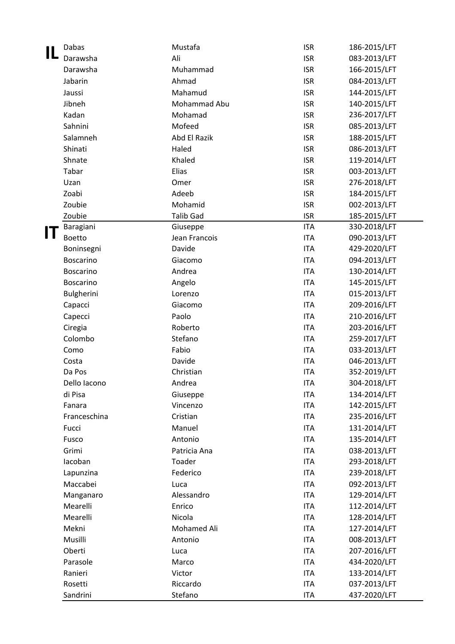|   | Dabas            | Mustafa          | <b>ISR</b> | 186-2015/LFT |
|---|------------------|------------------|------------|--------------|
|   | Darawsha         | Ali              | <b>ISR</b> | 083-2013/LFT |
|   | Darawsha         | Muhammad         | <b>ISR</b> | 166-2015/LFT |
|   | Jabarin          | Ahmad            | <b>ISR</b> | 084-2013/LFT |
|   | Jaussi           | Mahamud          | <b>ISR</b> | 144-2015/LFT |
|   | Jibneh           | Mohammad Abu     | <b>ISR</b> | 140-2015/LFT |
|   | Kadan            | Mohamad          | <b>ISR</b> | 236-2017/LFT |
|   | Sahnini          | Mofeed           | <b>ISR</b> | 085-2013/LFT |
|   | Salamneh         | Abd El Razik     | <b>ISR</b> | 188-2015/LFT |
|   | Shinati          | Haled            | <b>ISR</b> | 086-2013/LFT |
|   | Shnate           | Khaled           | <b>ISR</b> | 119-2014/LFT |
|   | Tabar            | Elias            | <b>ISR</b> | 003-2013/LFT |
|   | Uzan             | Omer             | <b>ISR</b> | 276-2018/LFT |
|   | Zoabi            | Adeeb            | <b>ISR</b> | 184-2015/LFT |
|   | Zoubie           | Mohamid          | <b>ISR</b> | 002-2013/LFT |
|   | Zoubie           | <b>Talib Gad</b> | <b>ISR</b> | 185-2015/LFT |
|   | Baragiani        | Giuseppe         | <b>ITA</b> | 330-2018/LFT |
| П | <b>Boetto</b>    | Jean Francois    | <b>ITA</b> | 090-2013/LFT |
|   | Boninsegni       | Davide           | <b>ITA</b> | 429-2020/LFT |
|   | <b>Boscarino</b> | Giacomo          | <b>ITA</b> | 094-2013/LFT |
|   | <b>Boscarino</b> | Andrea           | <b>ITA</b> | 130-2014/LFT |
|   | <b>Boscarino</b> | Angelo           | <b>ITA</b> | 145-2015/LFT |
|   | Bulgherini       | Lorenzo          | <b>ITA</b> | 015-2013/LFT |
|   | Capacci          | Giacomo          | <b>ITA</b> | 209-2016/LFT |
|   | Capecci          | Paolo            | <b>ITA</b> | 210-2016/LFT |
|   | Ciregia          | Roberto          | <b>ITA</b> | 203-2016/LFT |
|   | Colombo          | Stefano          | <b>ITA</b> | 259-2017/LFT |
|   | Como             | Fabio            | <b>ITA</b> | 033-2013/LFT |
|   | Costa            | Davide           | <b>ITA</b> | 046-2013/LFT |
|   | Da Pos           | Christian        | <b>ITA</b> | 352-2019/LFT |
|   | Dello Iacono     | Andrea           | <b>ITA</b> | 304-2018/LFT |
|   | di Pisa          | Giuseppe         | <b>ITA</b> | 134-2014/LFT |
|   | Fanara           | Vincenzo         | <b>ITA</b> | 142-2015/LFT |
|   | Franceschina     | Cristian         | <b>ITA</b> | 235-2016/LFT |
|   | Fucci            | Manuel           | <b>ITA</b> | 131-2014/LFT |
|   | Fusco            | Antonio          | <b>ITA</b> | 135-2014/LFT |
|   | Grimi            | Patricia Ana     | <b>ITA</b> | 038-2013/LFT |
|   | lacoban          | Toader           | <b>ITA</b> | 293-2018/LFT |
|   | Lapunzina        | Federico         | <b>ITA</b> | 239-2018/LFT |
|   | Maccabei         | Luca             | <b>ITA</b> | 092-2013/LFT |
|   | Manganaro        | Alessandro       | <b>ITA</b> | 129-2014/LFT |
|   | Mearelli         | Enrico           | <b>ITA</b> | 112-2014/LFT |
|   | Mearelli         | Nicola           | <b>ITA</b> | 128-2014/LFT |
|   | Mekni            | Mohamed Ali      | <b>ITA</b> | 127-2014/LFT |
|   | Musilli          | Antonio          | <b>ITA</b> | 008-2013/LFT |
|   | Oberti           | Luca             | <b>ITA</b> | 207-2016/LFT |
|   | Parasole         | Marco            | <b>ITA</b> | 434-2020/LFT |
|   | Ranieri          | Victor           | <b>ITA</b> | 133-2014/LFT |
|   | Rosetti          | Riccardo         | <b>ITA</b> | 037-2013/LFT |
|   | Sandrini         | Stefano          | <b>ITA</b> | 437-2020/LFT |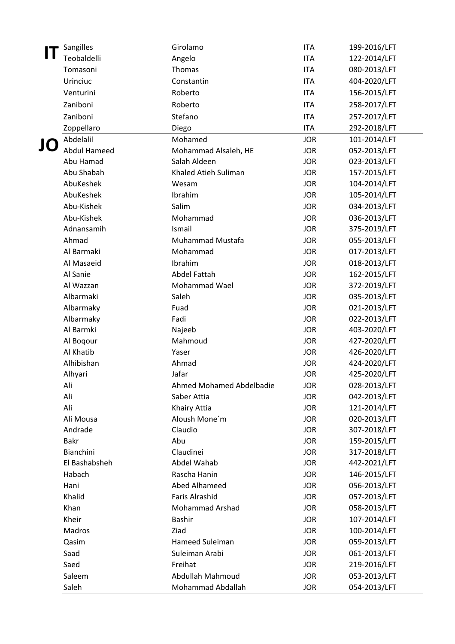|    | Sangilles           | Girolamo                          | <b>ITA</b>               | 199-2016/LFT                 |
|----|---------------------|-----------------------------------|--------------------------|------------------------------|
|    | Teobaldelli         | Angelo                            | <b>ITA</b>               | 122-2014/LFT                 |
|    | Tomasoni            | Thomas                            | <b>ITA</b>               | 080-2013/LFT                 |
|    | Urinciuc            | Constantin                        | <b>ITA</b>               | 404-2020/LFT                 |
|    | Venturini           | Roberto                           | <b>ITA</b>               | 156-2015/LFT                 |
|    | Zaniboni            | Roberto                           | <b>ITA</b>               | 258-2017/LFT                 |
|    | Zaniboni            | Stefano                           | <b>ITA</b>               | 257-2017/LFT                 |
|    | Zoppellaro          | Diego                             | <b>ITA</b>               | 292-2018/LFT                 |
|    | Abdelalil           | Mohamed                           | <b>JOR</b>               | 101-2014/LFT                 |
| JO | <b>Abdul Hameed</b> | Mohammad Alsaleh, HE              | <b>JOR</b>               | 052-2013/LFT                 |
|    | Abu Hamad           | Salah Aldeen                      | <b>JOR</b>               | 023-2013/LFT                 |
|    | Abu Shabah          | Khaled Atieh Suliman              | <b>JOR</b>               | 157-2015/LFT                 |
|    | AbuKeshek           | Wesam                             | <b>JOR</b>               | 104-2014/LFT                 |
|    | AbuKeshek           | Ibrahim                           | <b>JOR</b>               | 105-2014/LFT                 |
|    | Abu-Kishek          | Salim                             | <b>JOR</b>               | 034-2013/LFT                 |
|    | Abu-Kishek          | Mohammad                          | <b>JOR</b>               | 036-2013/LFT                 |
|    | Adnansamih          | Ismail                            | <b>JOR</b>               | 375-2019/LFT                 |
|    | Ahmad               | Muhammad Mustafa                  | <b>JOR</b>               | 055-2013/LFT                 |
|    | Al Barmaki          | Mohammad                          | <b>JOR</b>               | 017-2013/LFT                 |
|    | Al Masaeid          | Ibrahim                           | <b>JOR</b>               | 018-2013/LFT                 |
|    | Al Sanie            | <b>Abdel Fattah</b>               | <b>JOR</b>               | 162-2015/LFT                 |
|    | Al Wazzan           | Mohammad Wael                     | <b>JOR</b>               | 372-2019/LFT                 |
|    | Albarmaki           | Saleh                             | <b>JOR</b>               | 035-2013/LFT                 |
|    | Albarmaky           | Fuad                              | <b>JOR</b>               | 021-2013/LFT                 |
|    | Albarmaky           | Fadi                              | <b>JOR</b>               | 022-2013/LFT                 |
|    | Al Barmki           | Najeeb                            | <b>JOR</b>               | 403-2020/LFT                 |
|    | Al Boqour           | Mahmoud                           | <b>JOR</b>               | 427-2020/LFT                 |
|    | Al Khatib           | Yaser                             | <b>JOR</b>               | 426-2020/LFT                 |
|    | Alhibishan          | Ahmad                             | <b>JOR</b>               | 424-2020/LFT                 |
|    | Alhyari<br>Ali      | Jafar<br>Ahmed Mohamed Abdelbadie | <b>JOR</b><br><b>JOR</b> | 425-2020/LFT<br>028-2013/LFT |
|    | Ali                 | Saber Attia                       | <b>JOR</b>               | 042-2013/LFT                 |
|    | Ali                 | Khairy Attia                      | <b>JOR</b>               | 121-2014/LFT                 |
|    | Ali Mousa           | Aloush Mone'm                     | <b>JOR</b>               | 020-2013/LFT                 |
|    | Andrade             | Claudio                           | <b>JOR</b>               | 307-2018/LFT                 |
|    | <b>Bakr</b>         | Abu                               | <b>JOR</b>               | 159-2015/LFT                 |
|    | Bianchini           | Claudinei                         | <b>JOR</b>               | 317-2018/LFT                 |
|    | El Bashabsheh       | Abdel Wahab                       | <b>JOR</b>               | 442-2021/LFT                 |
|    | Habach              | Rascha Hanin                      | <b>JOR</b>               | 146-2015/LFT                 |
|    | Hani                | Abed Alhameed                     | <b>JOR</b>               | 056-2013/LFT                 |
|    | Khalid              | <b>Faris Alrashid</b>             | <b>JOR</b>               | 057-2013/LFT                 |
|    | Khan                | <b>Mohammad Arshad</b>            | <b>JOR</b>               | 058-2013/LFT                 |
|    | Kheir               | Bashir                            | <b>JOR</b>               | 107-2014/LFT                 |
|    | Madros              | Ziad                              | <b>JOR</b>               | 100-2014/LFT                 |
|    | Qasim               | Hameed Suleiman                   | <b>JOR</b>               | 059-2013/LFT                 |
|    | Saad                | Suleiman Arabi                    | <b>JOR</b>               | 061-2013/LFT                 |
|    | Saed                | Freihat                           | <b>JOR</b>               | 219-2016/LFT                 |
|    | Saleem              | Abdullah Mahmoud                  | <b>JOR</b>               | 053-2013/LFT                 |
|    | Saleh               | Mohammad Abdallah                 | <b>JOR</b>               | 054-2013/LFT                 |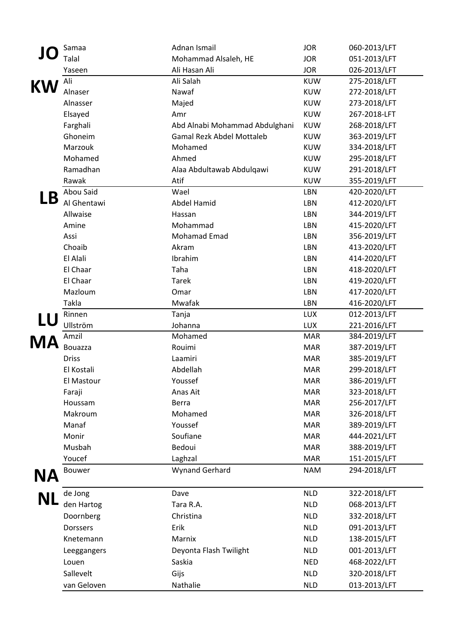|           | Samaa          | Adnan Ismail                     | <b>JOR</b> | 060-2013/LFT |
|-----------|----------------|----------------------------------|------------|--------------|
|           | Talal          | Mohammad Alsaleh, HE             | <b>JOR</b> | 051-2013/LFT |
|           |                | Ali Hasan Ali                    | <b>JOR</b> |              |
|           | Yaseen         |                                  |            | 026-2013/LFT |
| KW        | Ali            | Ali Salah<br>Nawaf               | <b>KUW</b> | 275-2018/LFT |
|           | Alnaser        |                                  | <b>KUW</b> | 272-2018/LFT |
|           | Alnasser       | Majed                            | <b>KUW</b> | 273-2018/LFT |
|           | Elsayed        | Amr                              | <b>KUW</b> | 267-2018-LFT |
|           | Farghali       | Abd Alnabi Mohammad Abdulghani   | <b>KUW</b> | 268-2018/LFT |
|           | Ghoneim        | <b>Gamal Rezk Abdel Mottaleb</b> | <b>KUW</b> | 363-2019/LFT |
|           | Marzouk        | Mohamed                          | <b>KUW</b> | 334-2018/LFT |
|           | Mohamed        | Ahmed                            | <b>KUW</b> | 295-2018/LFT |
|           | Ramadhan       | Alaa Abdultawab Abdulqawi        | <b>KUW</b> | 291-2018/LFT |
|           | Rawak          | Atif                             | <b>KUW</b> | 355-2019/LFT |
|           | Abou Said      | Wael                             | LBN        | 420-2020/LFT |
| LΒ        | Al Ghentawi    | <b>Abdel Hamid</b>               | LBN        | 412-2020/LFT |
|           | Allwaise       | Hassan                           | LBN        | 344-2019/LFT |
|           | Amine          | Mohammad                         | LBN        | 415-2020/LFT |
|           | Assi           | Mohamad Emad                     | LBN        | 356-2019/LFT |
|           | Choaib         | Akram                            | LBN        | 413-2020/LFT |
|           | El Alali       | Ibrahim                          | LBN        | 414-2020/LFT |
|           | El Chaar       | Taha                             | <b>LBN</b> | 418-2020/LFT |
|           | El Chaar       | <b>Tarek</b>                     | LBN        | 419-2020/LFT |
|           | Mazloum        | Omar                             | LBN        | 417-2020/LFT |
|           | Takla          | Mwafak                           | LBN        | 416-2020/LFT |
|           | Rinnen         | Tanja                            | <b>LUX</b> | 012-2013/LFT |
| LU        | Ullström       | Johanna                          | <b>LUX</b> | 221-2016/LFT |
|           | Amzil          | Mohamed                          | <b>MAR</b> | 384-2019/LFT |
| MA        | <b>Bouazza</b> | Rouimi                           | <b>MAR</b> | 387-2019/LFT |
|           | <b>Driss</b>   | Laamiri                          | <b>MAR</b> | 385-2019/LFT |
|           | El Kostali     | Abdellah                         | <b>MAR</b> | 299-2018/LFT |
|           | El Mastour     | Youssef                          | <b>MAR</b> | 386-2019/LFT |
|           | Faraji         | Anas Ait                         | <b>MAR</b> | 323-2018/LFT |
|           | Houssam        | Berra                            | <b>MAR</b> | 256-2017/LFT |
|           | Makroum        | Mohamed                          | <b>MAR</b> | 326-2018/LFT |
|           | Manaf          | Youssef                          | <b>MAR</b> | 389-2019/LFT |
|           | Monir          | Soufiane                         | <b>MAR</b> | 444-2021/LFT |
|           | Musbah         | Bedoui                           | <b>MAR</b> | 388-2019/LFT |
|           | Youcef         | Laghzal                          | <b>MAR</b> | 151-2015/LFT |
|           | <b>Bouwer</b>  | <b>Wynand Gerhard</b>            | <b>NAM</b> | 294-2018/LFT |
| NΑ        |                |                                  |            |              |
|           | de Jong        | Dave                             | <b>NLD</b> | 322-2018/LFT |
| <b>NL</b> |                |                                  |            |              |
|           | den Hartog     | Tara R.A.                        | <b>NLD</b> | 068-2013/LFT |
|           | Doornberg      | Christina                        | <b>NLD</b> | 332-2018/LFT |
|           | Dorssers       | Erik                             | <b>NLD</b> | 091-2013/LFT |
|           |                |                                  |            |              |
|           | Knetemann      | Marnix                           | <b>NLD</b> | 138-2015/LFT |
|           | Leeggangers    | Deyonta Flash Twilight           | <b>NLD</b> | 001-2013/LFT |
|           | Louen          | Saskia                           | <b>NED</b> | 468-2022/LFT |
|           | Sallevelt      | Gijs                             | <b>NLD</b> | 320-2018/LFT |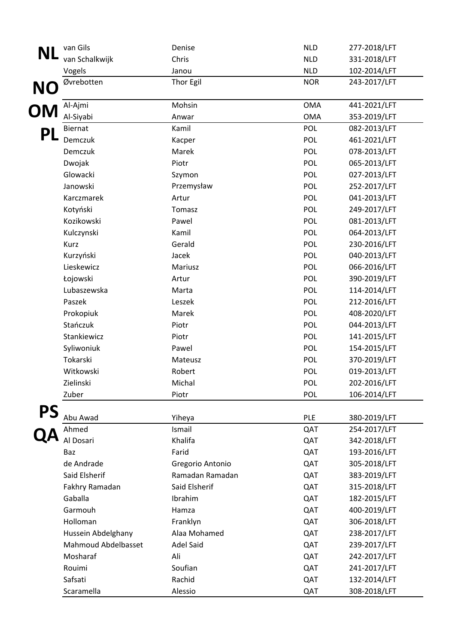|           | van Gils            | Denise           | <b>NLD</b> | 277-2018/LFT |
|-----------|---------------------|------------------|------------|--------------|
| <b>NL</b> | van Schalkwijk      | Chris            | <b>NLD</b> | 331-2018/LFT |
|           | Vogels              | Janou            | <b>NLD</b> | 102-2014/LFT |
|           | Øvrebotten          | Thor Egil        | <b>NOR</b> | 243-2017/LFT |
| <b>NO</b> |                     |                  |            |              |
| <b>OM</b> | Al-Ajmi             | Mohsin           | <b>OMA</b> | 441-2021/LFT |
|           | Al-Siyabi           | Anwar            | <b>OMA</b> | 353-2019/LFT |
| PL        | <b>Biernat</b>      | Kamil            | POL        | 082-2013/LFT |
|           | Demczuk             | Kacper           | <b>POL</b> | 461-2021/LFT |
|           | Demczuk             | Marek            | POL        | 078-2013/LFT |
|           | Dwojak              | Piotr            | POL        | 065-2013/LFT |
|           | Glowacki            | Szymon           | POL        | 027-2013/LFT |
|           | Janowski            | Przemysław       | <b>POL</b> | 252-2017/LFT |
|           | Karczmarek          | Artur            | POL        | 041-2013/LFT |
|           | Kotyński            | Tomasz           | POL        | 249-2017/LFT |
|           | Kozikowski          | Pawel            | POL        | 081-2013/LFT |
|           | Kulczynski          | Kamil            | POL        | 064-2013/LFT |
|           | Kurz                | Gerald           | POL        | 230-2016/LFT |
|           | Kurzyński           | Jacek            | POL        | 040-2013/LFT |
|           | Lieskewicz          | Mariusz          | POL        | 066-2016/LFT |
|           | Łojowski            | Artur            | POL        | 390-2019/LFT |
|           | Lubaszewska         | Marta            | POL        | 114-2014/LFT |
|           | Paszek              | Leszek           | POL        | 212-2016/LFT |
|           | Prokopiuk           | Marek            | POL        | 408-2020/LFT |
|           | Stańczuk            | Piotr            | POL        | 044-2013/LFT |
|           | Stankiewicz         | Piotr            | POL        | 141-2015/LFT |
|           | Syliwoniuk          | Pawel            | POL        | 154-2015/LFT |
|           | Tokarski            | Mateusz          | POL        | 370-2019/LFT |
|           | Witkowski           | Robert           | POL        | 019-2013/LFT |
|           | Zielinski           | Michal           | POL        | 202-2016/LFT |
|           | Zuber               | Piotr            | <b>POL</b> | 106-2014/LFT |
| PS        |                     |                  |            |              |
|           | Abu Awad            | Yiheya           | <b>PLE</b> | 380-2019/LFT |
|           | Ahmed               | Ismail           | QAT        | 254-2017/LFT |
|           | Al Dosari           | Khalifa          | QAT        | 342-2018/LFT |
|           | Baz                 | Farid            | QAT        | 193-2016/LFT |
|           | de Andrade          | Gregorio Antonio | QAT        | 305-2018/LFT |
|           | Said Elsherif       | Ramadan Ramadan  | QAT        | 383-2019/LFT |
|           | Fakhry Ramadan      | Said Elsherif    | QAT        | 315-2018/LFT |
|           | Gaballa             | Ibrahim          | QAT        | 182-2015/LFT |
|           | Garmouh             | Hamza            | QAT        | 400-2019/LFT |
|           | Holloman            | Franklyn         | QAT        | 306-2018/LFT |
|           | Hussein Abdelghany  | Alaa Mohamed     | QAT        | 238-2017/LFT |
|           | Mahmoud Abdelbasset | <b>Adel Said</b> | QAT        | 239-2017/LFT |
|           | Mosharaf            | Ali              | QAT        | 242-2017/LFT |
|           | Rouimi              | Soufian          | QAT        | 241-2017/LFT |
|           | Safsati             | Rachid           | QAT        | 132-2014/LFT |
|           | Scaramella          | Alessio          | QAT        | 308-2018/LFT |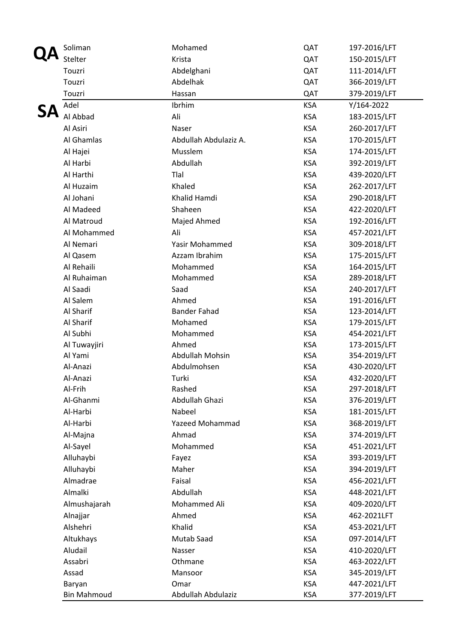| Soliman            | Mohamed                | QAT        | 197-2016/LFT |
|--------------------|------------------------|------------|--------------|
| Stelter            | Krista                 | QAT        | 150-2015/LFT |
| Touzri             | Abdelghani             | QAT        | 111-2014/LFT |
| Touzri             | Abdelhak               | QAT        | 366-2019/LFT |
| Touzri             | Hassan                 | QAT        | 379-2019/LFT |
| Adel               | Ibrhim                 | <b>KSA</b> | Y/164-2022   |
| Al Abbad           | Ali                    | <b>KSA</b> | 183-2015/LFT |
| Al Asiri           | Naser                  | <b>KSA</b> | 260-2017/LFT |
| Al Ghamlas         | Abdullah Abdulaziz A.  | <b>KSA</b> | 170-2015/LFT |
| Al Hajei           | Musslem                | <b>KSA</b> | 174-2015/LFT |
| Al Harbi           | Abdullah               | <b>KSA</b> | 392-2019/LFT |
| Al Harthi          | Tlal                   | <b>KSA</b> | 439-2020/LFT |
| Al Huzaim          | Khaled                 | <b>KSA</b> | 262-2017/LFT |
| Al Johani          | Khalid Hamdi           | <b>KSA</b> | 290-2018/LFT |
| Al Madeed          | Shaheen                | <b>KSA</b> | 422-2020/LFT |
| Al Matroud         | Majed Ahmed            | <b>KSA</b> | 192-2016/LFT |
| Al Mohammed        | Ali                    | <b>KSA</b> | 457-2021/LFT |
| Al Nemari          | Yasir Mohammed         | <b>KSA</b> | 309-2018/LFT |
| Al Qasem           | Azzam Ibrahim          | <b>KSA</b> | 175-2015/LFT |
| Al Rehaili         | Mohammed               | <b>KSA</b> | 164-2015/LFT |
| Al Ruhaiman        | Mohammed               | <b>KSA</b> | 289-2018/LFT |
| Al Saadi           | Saad                   | <b>KSA</b> | 240-2017/LFT |
| Al Salem           | Ahmed                  | <b>KSA</b> | 191-2016/LFT |
| Al Sharif          | <b>Bander Fahad</b>    | <b>KSA</b> | 123-2014/LFT |
| Al Sharif          | Mohamed                | <b>KSA</b> | 179-2015/LFT |
| Al Subhi           | Mohammed               | <b>KSA</b> | 454-2021/LFT |
| Al Tuwayjiri       | Ahmed                  | <b>KSA</b> | 173-2015/LFT |
| Al Yami            | <b>Abdullah Mohsin</b> | <b>KSA</b> | 354-2019/LFT |
| Al-Anazi           | Abdulmohsen            | <b>KSA</b> | 430-2020/LFT |
| Al-Anazi           | Turki                  | <b>KSA</b> | 432-2020/LFT |
| Al-Frih            | Rashed                 | <b>KSA</b> | 297-2018/LFT |
| Al-Ghanmi          | Abdullah Ghazi         | <b>KSA</b> | 376-2019/LFT |
| Al-Harbi           | Nabeel                 | <b>KSA</b> | 181-2015/LFT |
| Al-Harbi           | <b>Yazeed Mohammad</b> | <b>KSA</b> | 368-2019/LFT |
| Al-Majna           | Ahmad                  | <b>KSA</b> | 374-2019/LFT |
| Al-Sayel           | Mohammed               | <b>KSA</b> | 451-2021/LFT |
| Alluhaybi          | Fayez                  | <b>KSA</b> | 393-2019/LFT |
| Alluhaybi          | Maher                  | <b>KSA</b> | 394-2019/LFT |
| Almadrae           | Faisal                 | <b>KSA</b> | 456-2021/LFT |
| Almalki            | Abdullah               | <b>KSA</b> | 448-2021/LFT |
| Almushajarah       | Mohammed Ali           | <b>KSA</b> | 409-2020/LFT |
| Alnajjar           | Ahmed                  | <b>KSA</b> | 462-2021LFT  |
| Alshehri           | Khalid                 | <b>KSA</b> | 453-2021/LFT |
| Altukhays          | Mutab Saad             | <b>KSA</b> | 097-2014/LFT |
| Aludail            | Nasser                 | <b>KSA</b> | 410-2020/LFT |
| Assabri            | Othmane                | <b>KSA</b> | 463-2022/LFT |
| Assad              | Mansoor                | <b>KSA</b> | 345-2019/LFT |
| Baryan             | Omar                   | <b>KSA</b> | 447-2021/LFT |
| <b>Bin Mahmoud</b> | Abdullah Abdulaziz     | <b>KSA</b> | 377-2019/LFT |